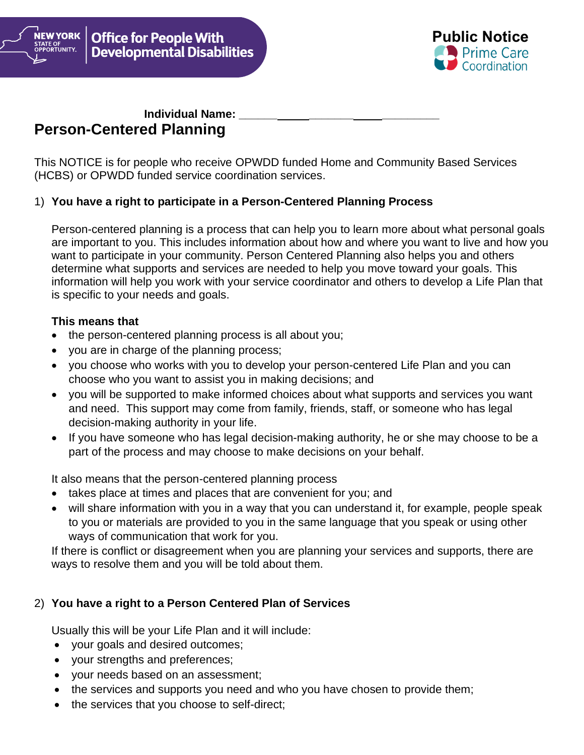

# **Individual Name: Person-Centered Planning**

NEW YORK

STATE OF<br>OPPORTUNITY.

This NOTICE is for people who receive OPWDD funded Home and Community Based Services (HCBS) or OPWDD funded service coordination services.

### 1) **You have a right to participate in a Person-Centered Planning Process**

Person-centered planning is a process that can help you to learn more about what personal goals are important to you. This includes information about how and where you want to live and how you want to participate in your community. Person Centered Planning also helps you and others determine what supports and services are needed to help you move toward your goals. This information will help you work with your service coordinator and others to develop a Life Plan that is specific to your needs and goals.

### **This means that**

- the person-centered planning process is all about you;
- you are in charge of the planning process;
- you choose who works with you to develop your person-centered Life Plan and you can choose who you want to assist you in making decisions; and
- you will be supported to make informed choices about what supports and services you want and need. This support may come from family, friends, staff, or someone who has legal decision-making authority in your life.
- If you have someone who has legal decision-making authority, he or she may choose to be a part of the process and may choose to make decisions on your behalf.

It also means that the person-centered planning process

- takes place at times and places that are convenient for you; and
- will share information with you in a way that you can understand it, for example, people speak to you or materials are provided to you in the same language that you speak or using other ways of communication that work for you.

If there is conflict or disagreement when you are planning your services and supports, there are ways to resolve them and you will be told about them.

## 2) **You have a right to a Person Centered Plan of Services**

Usually this will be your Life Plan and it will include:

- your goals and desired outcomes;
- your strengths and preferences;
- your needs based on an assessment;
- the services and supports you need and who you have chosen to provide them;
- the services that you choose to self-direct;